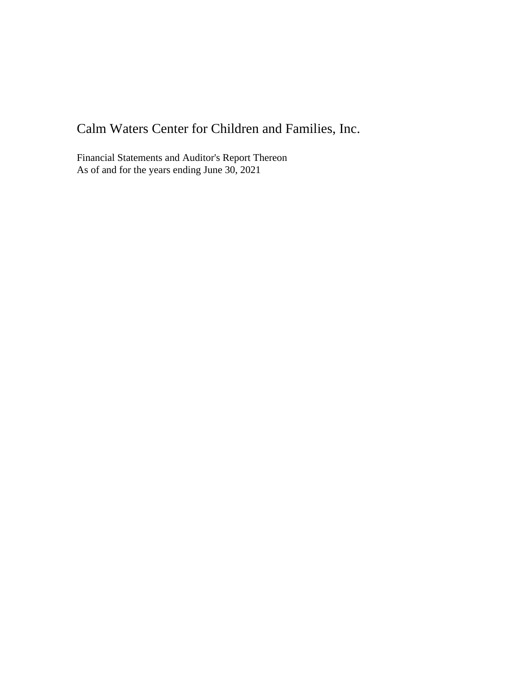# Calm Waters Center for Children and Families, Inc.

Financial Statements and Auditor's Report Thereon As of and for the years ending June 30, 2021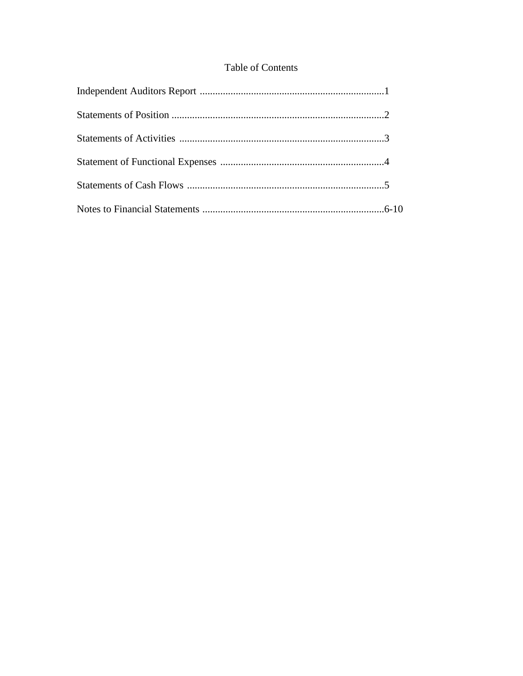# Table of Contents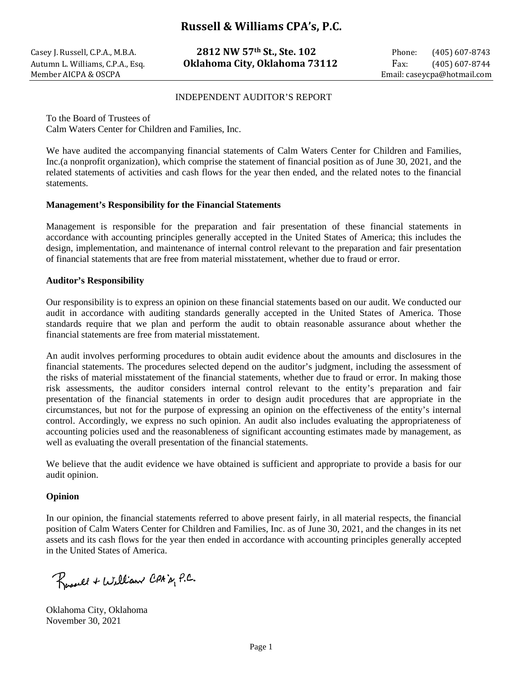Casey J. Russell, C.P.A., M.B.A. **2812 NW 57th St., Ste. 102** Phone: (405) 607-8743 Autumn L. Williams, C.P.A., Esq. **Oklahoma City, Oklahoma 73112** Fax: (405) 607-8744

#### INDEPENDENT AUDITOR'S REPORT

To the Board of Trustees of Calm Waters Center for Children and Families, Inc.

We have audited the accompanying financial statements of Calm Waters Center for Children and Families, Inc.(a nonprofit organization), which comprise the statement of financial position as of June 30, 2021, and the related statements of activities and cash flows for the year then ended, and the related notes to the financial statements.

#### **Management's Responsibility for the Financial Statements**

Management is responsible for the preparation and fair presentation of these financial statements in accordance with accounting principles generally accepted in the United States of America; this includes the design, implementation, and maintenance of internal control relevant to the preparation and fair presentation of financial statements that are free from material misstatement, whether due to fraud or error.

#### **Auditor's Responsibility**

Our responsibility is to express an opinion on these financial statements based on our audit. We conducted our audit in accordance with auditing standards generally accepted in the United States of America. Those standards require that we plan and perform the audit to obtain reasonable assurance about whether the financial statements are free from material misstatement.

An audit involves performing procedures to obtain audit evidence about the amounts and disclosures in the financial statements. The procedures selected depend on the auditor's judgment, including the assessment of the risks of material misstatement of the financial statements, whether due to fraud or error. In making those risk assessments, the auditor considers internal control relevant to the entity's preparation and fair presentation of the financial statements in order to design audit procedures that are appropriate in the circumstances, but not for the purpose of expressing an opinion on the effectiveness of the entity's internal control. Accordingly, we express no such opinion. An audit also includes evaluating the appropriateness of accounting policies used and the reasonableness of significant accounting estimates made by management, as well as evaluating the overall presentation of the financial statements.

We believe that the audit evidence we have obtained is sufficient and appropriate to provide a basis for our audit opinion.

#### **Opinion**

In our opinion, the financial statements referred to above present fairly, in all material respects, the financial position of Calm Waters Center for Children and Families, Inc. as of June 30, 2021, and the changes in its net assets and its cash flows for the year then ended in accordance with accounting principles generally accepted in the United States of America.

Russell + William CPA is, P.C.

Oklahoma City, Oklahoma November 30, 2021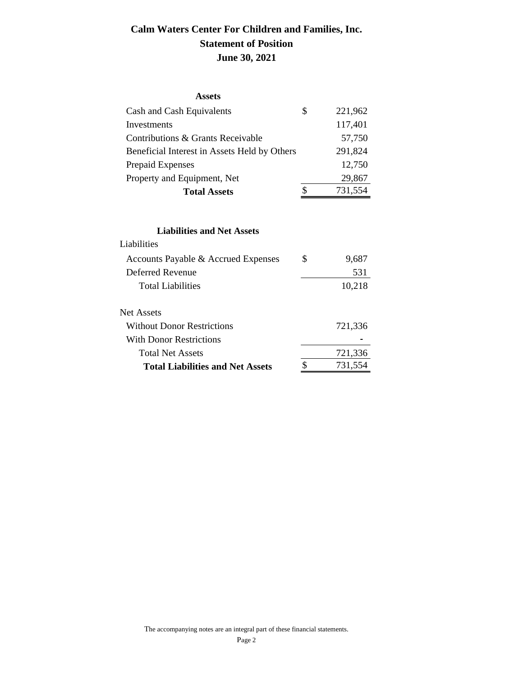# **Calm Waters Center For Children and Families, Inc. Statement of Position June 30, 2021**

| <b>Assets</b>                                |    |         |
|----------------------------------------------|----|---------|
| Cash and Cash Equivalents                    | \$ | 221,962 |
| Investments                                  |    | 117,401 |
| Contributions & Grants Receivable            |    | 57,750  |
| Beneficial Interest in Assets Held by Others |    | 291,824 |
| Prepaid Expenses                             |    | 12,750  |
| Property and Equipment, Net                  |    | 29,867  |
| <b>Total Assets</b>                          | S  | 731,554 |

#### **Liabilities and Net Assets**

| Liabilities                             |    |         |
|-----------------------------------------|----|---------|
| Accounts Payable & Accrued Expenses     | \$ | 9,687   |
| Deferred Revenue                        |    | 531     |
| <b>Total Liabilities</b>                |    | 10,218  |
| Net Assets                              |    |         |
| <b>Without Donor Restrictions</b>       |    | 721,336 |
| With Donor Restrictions                 |    |         |
| <b>Total Net Assets</b>                 |    | 721,336 |
| <b>Total Liabilities and Net Assets</b> | ¢  | 731,554 |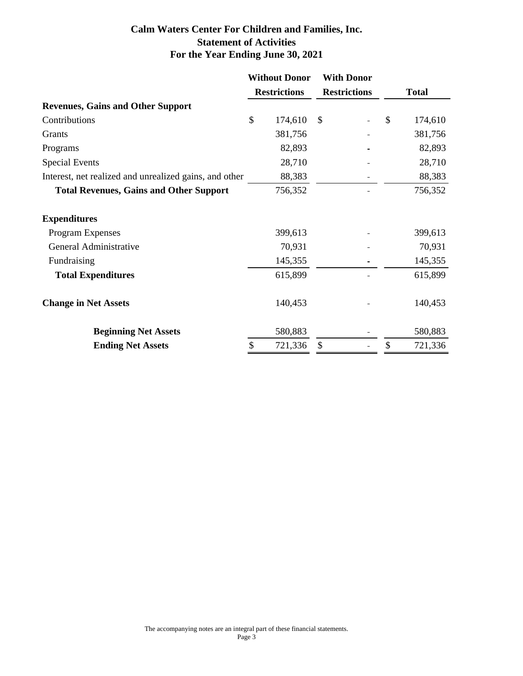# **Calm Waters Center For Children and Families, Inc. Statement of Activities For the Year Ending June 30, 2021**

|                                                        | <b>Without Donor</b> |         |               | <b>With Donor</b>   |              |         |  |
|--------------------------------------------------------|----------------------|---------|---------------|---------------------|--------------|---------|--|
|                                                        | <b>Restrictions</b>  |         |               | <b>Restrictions</b> | <b>Total</b> |         |  |
| <b>Revenues, Gains and Other Support</b>               |                      |         |               |                     |              |         |  |
| Contributions                                          | \$                   | 174,610 | $\mathcal{S}$ |                     | \$           | 174,610 |  |
| Grants                                                 |                      | 381,756 |               |                     |              | 381,756 |  |
| Programs                                               |                      | 82,893  |               |                     |              | 82,893  |  |
| <b>Special Events</b>                                  |                      | 28,710  |               |                     |              | 28,710  |  |
| Interest, net realized and unrealized gains, and other |                      | 88,383  |               |                     |              | 88,383  |  |
| <b>Total Revenues, Gains and Other Support</b>         |                      | 756,352 |               |                     |              | 756,352 |  |
| <b>Expenditures</b>                                    |                      |         |               |                     |              |         |  |
| Program Expenses                                       |                      | 399,613 |               |                     |              | 399,613 |  |
| General Administrative                                 |                      | 70,931  |               |                     |              | 70,931  |  |
| Fundraising                                            |                      | 145,355 |               |                     |              | 145,355 |  |
| <b>Total Expenditures</b>                              |                      | 615,899 |               |                     |              | 615,899 |  |
| <b>Change in Net Assets</b>                            |                      | 140,453 |               |                     |              | 140,453 |  |
| <b>Beginning Net Assets</b>                            |                      | 580,883 |               |                     |              | 580,883 |  |
| <b>Ending Net Assets</b>                               | \$                   | 721,336 | \$            |                     | \$           | 721,336 |  |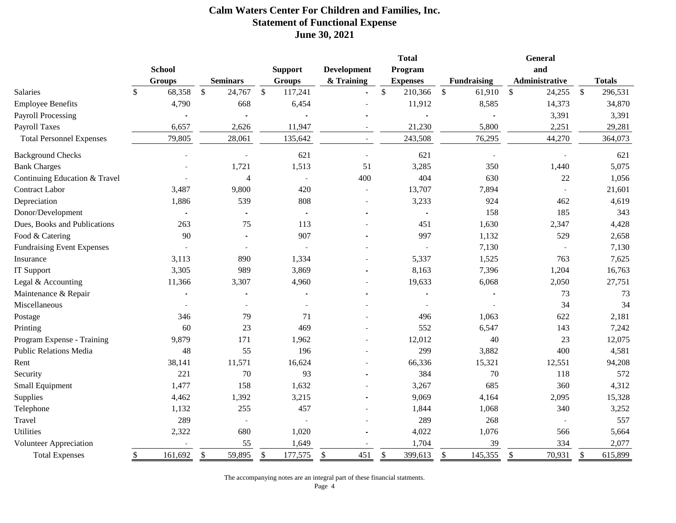# **Calm Waters Center For Children and Families, Inc. Statement of Functional Expense June 30, 2021**

|                                   |               |               |                |                 | <b>Total</b>                  |         |              | <b>General</b> |                 |               |                    |    |                       |                           |               |
|-----------------------------------|---------------|---------------|----------------|-----------------|-------------------------------|---------|--------------|----------------|-----------------|---------------|--------------------|----|-----------------------|---------------------------|---------------|
|                                   | <b>School</b> |               | <b>Support</b> |                 | <b>Development</b><br>Program |         | and          |                |                 |               |                    |    |                       |                           |               |
|                                   |               | <b>Groups</b> |                | <b>Seminars</b> |                               | Groups  | & Training   |                | <b>Expenses</b> |               | <b>Fundraising</b> |    | <b>Administrative</b> |                           | <b>Totals</b> |
| Salaries                          | \$            | 68,358        | $\mathsf{\$}$  | 24,767          | \$                            | 117,241 |              | \$             | 210,366         | $\mathcal{S}$ | 61,910             | \$ | 24,255                | $\mathcal{S}$             | 296,531       |
| <b>Employee Benefits</b>          |               | 4,790         |                | 668             |                               | 6,454   |              |                | 11,912          |               | 8,585              |    | 14,373                |                           | 34,870        |
| <b>Payroll Processing</b>         |               |               |                |                 |                               |         |              |                |                 |               |                    |    | 3,391                 |                           | 3,391         |
| Payroll Taxes                     |               | 6,657         |                | 2,626           |                               | 11,947  |              |                | 21,230          |               | 5,800              |    | 2,251                 |                           | 29,281        |
| <b>Total Personnel Expenses</b>   |               | 79,805        |                | 28,061          |                               | 135,642 | $\mathbf{r}$ |                | 243,508         |               | 76,295             |    | 44,270                |                           | 364,073       |
| <b>Background Checks</b>          |               |               |                |                 |                               | 621     |              |                | 621             |               |                    |    |                       |                           | 621           |
| <b>Bank Charges</b>               |               |               |                | 1,721           |                               | 1,513   | 51           |                | 3,285           |               | 350                |    | 1,440                 |                           | 5,075         |
| Continuing Education & Travel     |               |               |                | $\overline{4}$  |                               | $\sim$  | 400          |                | 404             |               | 630                |    | 22                    |                           | 1,056         |
| Contract Labor                    |               | 3,487         |                | 9,800           |                               | 420     |              |                | 13,707          |               | 7,894              |    | $\blacksquare$        |                           | 21,601        |
| Depreciation                      |               | 1,886         |                | 539             |                               | 808     |              |                | 3,233           |               | 924                |    | 462                   |                           | 4,619         |
| Donor/Development                 |               |               |                | $\overline{a}$  |                               | $\sim$  |              |                |                 |               | 158                |    | 185                   |                           | 343           |
| Dues, Books and Publications      |               | 263           |                | 75              |                               | 113     |              |                | 451             |               | 1,630              |    | 2,347                 |                           | 4,428         |
| Food & Catering                   |               | 90            |                |                 |                               | 907     |              |                | 997             |               | 1,132              |    | 529                   |                           | 2,658         |
| <b>Fundraising Event Expenses</b> |               |               |                |                 |                               |         |              |                |                 |               | 7,130              |    | $\overline{a}$        |                           | 7,130         |
| Insurance                         |               | 3,113         |                | 890             |                               | 1,334   |              |                | 5,337           |               | 1,525              |    | 763                   |                           | 7,625         |
| IT Support                        |               | 3,305         |                | 989             |                               | 3,869   |              |                | 8,163           |               | 7,396              |    | 1,204                 |                           | 16,763        |
| Legal & Accounting                |               | 11,366        |                | 3,307           |                               | 4,960   |              |                | 19,633          |               | 6,068              |    | 2,050                 |                           | 27,751        |
| Maintenance & Repair              |               |               |                |                 |                               |         |              |                |                 |               |                    |    | 73                    |                           | 73            |
| Miscellaneous                     |               |               |                |                 |                               |         |              |                |                 |               |                    |    | 34                    |                           | 34            |
| Postage                           |               | 346           |                | 79              |                               | 71      |              |                | 496             |               | 1,063              |    | 622                   |                           | 2,181         |
| Printing                          |               | 60            |                | 23              |                               | 469     |              |                | 552             |               | 6,547              |    | 143                   |                           | 7,242         |
| Program Expense - Training        |               | 9,879         |                | 171             |                               | 1,962   |              |                | 12,012          |               | 40                 |    | 23                    |                           | 12,075        |
| <b>Public Relations Media</b>     |               | 48            |                | 55              |                               | 196     |              |                | 299             |               | 3,882              |    | 400                   |                           | 4,581         |
| Rent                              |               | 38,141        |                | 11,571          |                               | 16,624  |              |                | 66,336          |               | 15,321             |    | 12,551                |                           | 94,208        |
| Security                          |               | 221           |                | 70              |                               | 93      |              |                | 384             |               | 70                 |    | 118                   |                           | 572           |
| Small Equipment                   |               | 1,477         |                | 158             |                               | 1,632   |              |                | 3,267           |               | 685                |    | 360                   |                           | 4,312         |
| Supplies                          |               | 4,462         |                | 1,392           |                               | 3,215   |              |                | 9,069           |               | 4,164              |    | 2,095                 |                           | 15,328        |
| Telephone                         |               | 1,132         |                | 255             |                               | 457     |              |                | 1,844           |               | 1,068              |    | 340                   |                           | 3,252         |
| Travel                            |               | 289           |                |                 |                               |         |              |                | 289             |               | 268                |    |                       |                           | 557           |
| Utilities                         |               | 2,322         |                | 680             |                               | 1,020   |              |                | 4,022           |               | 1,076              |    | 566                   |                           | 5,664         |
| Volunteer Appreciation            |               |               |                | 55              |                               | 1,649   |              |                | 1,704           |               | 39                 |    | 334                   |                           | 2,077         |
| <b>Total Expenses</b>             | \$            | 161,692       | \$             | 59,895          | $\$$                          | 177,575 | \$<br>451    | \$             | 399,613         | \$            | 145,355            | \$ | 70,931                | $\boldsymbol{\mathsf{S}}$ | 615,899       |

The accompanying notes are an integral part of these financial statments.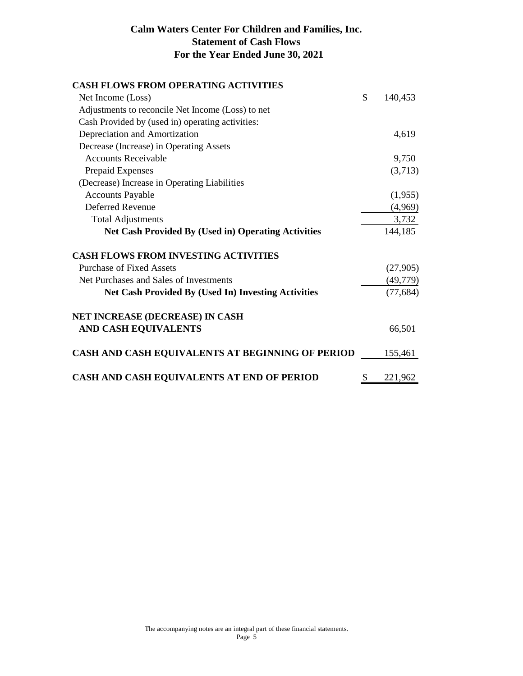# **Calm Waters Center For Children and Families, Inc. Statement of Cash Flows For the Year Ended June 30, 2021**

#### **CASH FLOWS FROM OPERATING ACTIVITIES**

| Net Income (Loss)                                          | \$<br>140,453 |
|------------------------------------------------------------|---------------|
| Adjustments to reconcile Net Income (Loss) to net          |               |
| Cash Provided by (used in) operating activities:           |               |
| Depreciation and Amortization                              | 4,619         |
| Decrease (Increase) in Operating Assets                    |               |
| <b>Accounts Receivable</b>                                 | 9,750         |
| Prepaid Expenses                                           | (3,713)       |
| (Decrease) Increase in Operating Liabilities               |               |
| <b>Accounts Payable</b>                                    | (1,955)       |
| <b>Deferred Revenue</b>                                    | (4,969)       |
| <b>Total Adjustments</b>                                   | 3,732         |
| <b>Net Cash Provided By (Used in) Operating Activities</b> | 144,185       |
| <b>CASH FLOWS FROM INVESTING ACTIVITIES</b>                |               |
| <b>Purchase of Fixed Assets</b>                            | (27,905)      |
| Net Purchases and Sales of Investments                     | (49, 779)     |
| <b>Net Cash Provided By (Used In) Investing Activities</b> | (77, 684)     |
| NET INCREASE (DECREASE) IN CASH                            |               |
| AND CASH EQUIVALENTS                                       | 66,501        |
| CASH AND CASH EQUIVALENTS AT BEGINNING OF PERIOD           | 155,461       |
| <b>CASH AND CASH EQUIVALENTS AT END OF PERIOD</b>          | \$<br>221,962 |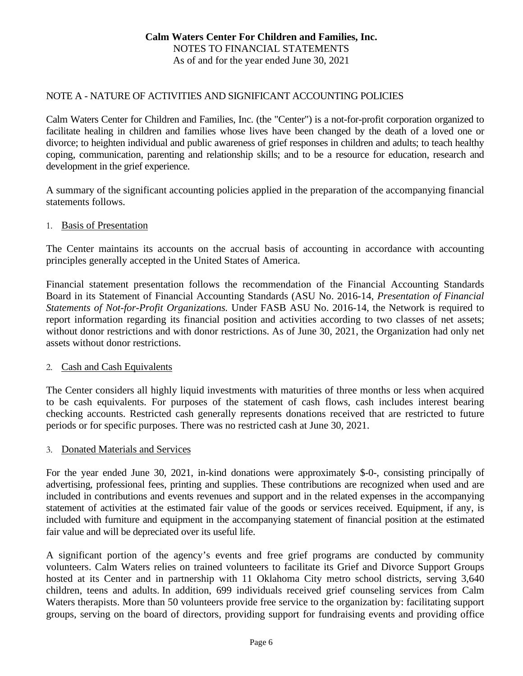### NOTE A - NATURE OF ACTIVITIES AND SIGNIFICANT ACCOUNTING POLICIES

Calm Waters Center for Children and Families, Inc. (the "Center") is a not-for-profit corporation organized to facilitate healing in children and families whose lives have been changed by the death of a loved one or divorce; to heighten individual and public awareness of grief responses in children and adults; to teach healthy coping, communication, parenting and relationship skills; and to be a resource for education, research and development in the grief experience.

A summary of the significant accounting policies applied in the preparation of the accompanying financial statements follows.

#### 1. Basis of Presentation

The Center maintains its accounts on the accrual basis of accounting in accordance with accounting principles generally accepted in the United States of America.

Financial statement presentation follows the recommendation of the Financial Accounting Standards Board in its Statement of Financial Accounting Standards (ASU No. 2016-14, *Presentation of Financial Statements of Not-for-Profit Organizations.* Under FASB ASU No. 2016-14, the Network is required to report information regarding its financial position and activities according to two classes of net assets; without donor restrictions and with donor restrictions. As of June 30, 2021, the Organization had only net assets without donor restrictions.

### 2. Cash and Cash Equivalents

The Center considers all highly liquid investments with maturities of three months or less when acquired to be cash equivalents. For purposes of the statement of cash flows, cash includes interest bearing checking accounts. Restricted cash generally represents donations received that are restricted to future periods or for specific purposes. There was no restricted cash at June 30, 2021.

#### 3. Donated Materials and Services

For the year ended June 30, 2021, in-kind donations were approximately \$-0-, consisting principally of advertising, professional fees, printing and supplies. These contributions are recognized when used and are included in contributions and events revenues and support and in the related expenses in the accompanying statement of activities at the estimated fair value of the goods or services received. Equipment, if any, is included with furniture and equipment in the accompanying statement of financial position at the estimated fair value and will be depreciated over its useful life.

A significant portion of the agency's events and free grief programs are conducted by community volunteers. Calm Waters relies on trained volunteers to facilitate its Grief and Divorce Support Groups hosted at its Center and in partnership with 11 Oklahoma City metro school districts, serving 3,640 children, teens and adults. In addition, 699 individuals received grief counseling services from Calm Waters therapists. More than 50 volunteers provide free service to the organization by: facilitating support groups, serving on the board of directors, providing support for fundraising events and providing office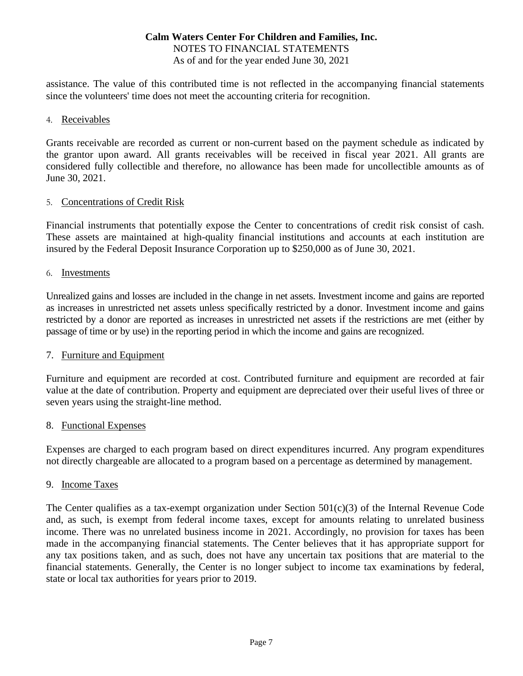## **Calm Waters Center For Children and Families, Inc.**  NOTES TO FINANCIAL STATEMENTS As of and for the year ended June 30, 2021

assistance. The value of this contributed time is not reflected in the accompanying financial statements since the volunteers' time does not meet the accounting criteria for recognition.

#### 4. Receivables

Grants receivable are recorded as current or non-current based on the payment schedule as indicated by the grantor upon award. All grants receivables will be received in fiscal year 2021. All grants are considered fully collectible and therefore, no allowance has been made for uncollectible amounts as of June 30, 2021.

#### 5. Concentrations of Credit Risk

Financial instruments that potentially expose the Center to concentrations of credit risk consist of cash. These assets are maintained at high-quality financial institutions and accounts at each institution are insured by the Federal Deposit Insurance Corporation up to \$250,000 as of June 30, 2021.

#### 6. Investments

Unrealized gains and losses are included in the change in net assets. Investment income and gains are reported as increases in unrestricted net assets unless specifically restricted by a donor. Investment income and gains restricted by a donor are reported as increases in unrestricted net assets if the restrictions are met (either by passage of time or by use) in the reporting period in which the income and gains are recognized.

### 7. Furniture and Equipment

Furniture and equipment are recorded at cost. Contributed furniture and equipment are recorded at fair value at the date of contribution. Property and equipment are depreciated over their useful lives of three or seven years using the straight-line method.

### 8. Functional Expenses

Expenses are charged to each program based on direct expenditures incurred. Any program expenditures not directly chargeable are allocated to a program based on a percentage as determined by management.

#### 9. Income Taxes

The Center qualifies as a tax-exempt organization under Section  $501(c)(3)$  of the Internal Revenue Code and, as such, is exempt from federal income taxes, except for amounts relating to unrelated business income. There was no unrelated business income in 2021. Accordingly, no provision for taxes has been made in the accompanying financial statements. The Center believes that it has appropriate support for any tax positions taken, and as such, does not have any uncertain tax positions that are material to the financial statements. Generally, the Center is no longer subject to income tax examinations by federal, state or local tax authorities for years prior to 2019.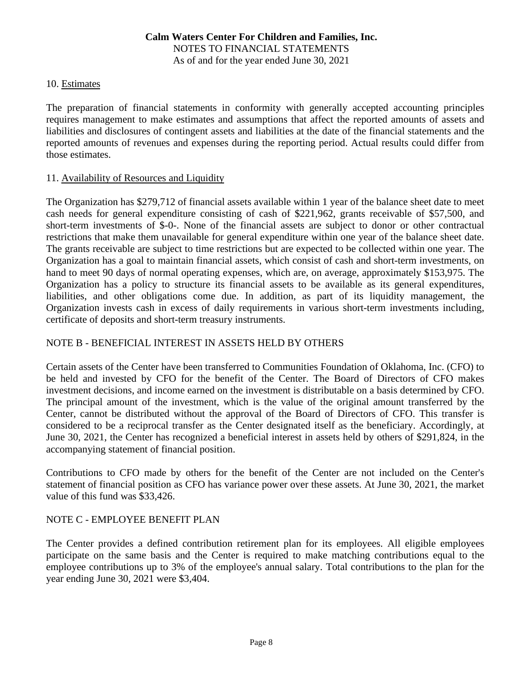### 10. Estimates

The preparation of financial statements in conformity with generally accepted accounting principles requires management to make estimates and assumptions that affect the reported amounts of assets and liabilities and disclosures of contingent assets and liabilities at the date of the financial statements and the reported amounts of revenues and expenses during the reporting period. Actual results could differ from those estimates.

## 11. Availability of Resources and Liquidity

The Organization has \$279,712 of financial assets available within 1 year of the balance sheet date to meet cash needs for general expenditure consisting of cash of \$221,962, grants receivable of \$57,500, and short-term investments of \$-0-. None of the financial assets are subject to donor or other contractual restrictions that make them unavailable for general expenditure within one year of the balance sheet date. The grants receivable are subject to time restrictions but are expected to be collected within one year. The Organization has a goal to maintain financial assets, which consist of cash and short-term investments, on hand to meet 90 days of normal operating expenses, which are, on average, approximately \$153,975. The Organization has a policy to structure its financial assets to be available as its general expenditures, liabilities, and other obligations come due. In addition, as part of its liquidity management, the Organization invests cash in excess of daily requirements in various short-term investments including, certificate of deposits and short-term treasury instruments.

## NOTE B - BENEFICIAL INTEREST IN ASSETS HELD BY OTHERS

Certain assets of the Center have been transferred to Communities Foundation of Oklahoma, Inc. (CFO) to be held and invested by CFO for the benefit of the Center. The Board of Directors of CFO makes investment decisions, and income earned on the investment is distributable on a basis determined by CFO. The principal amount of the investment, which is the value of the original amount transferred by the Center, cannot be distributed without the approval of the Board of Directors of CFO. This transfer is considered to be a reciprocal transfer as the Center designated itself as the beneficiary. Accordingly, at June 30, 2021, the Center has recognized a beneficial interest in assets held by others of \$291,824, in the accompanying statement of financial position.

Contributions to CFO made by others for the benefit of the Center are not included on the Center's statement of financial position as CFO has variance power over these assets. At June 30, 2021, the market value of this fund was \$33,426.

## NOTE C - EMPLOYEE BENEFIT PLAN

The Center provides a defined contribution retirement plan for its employees. All eligible employees participate on the same basis and the Center is required to make matching contributions equal to the employee contributions up to 3% of the employee's annual salary. Total contributions to the plan for the year ending June 30, 2021 were \$3,404.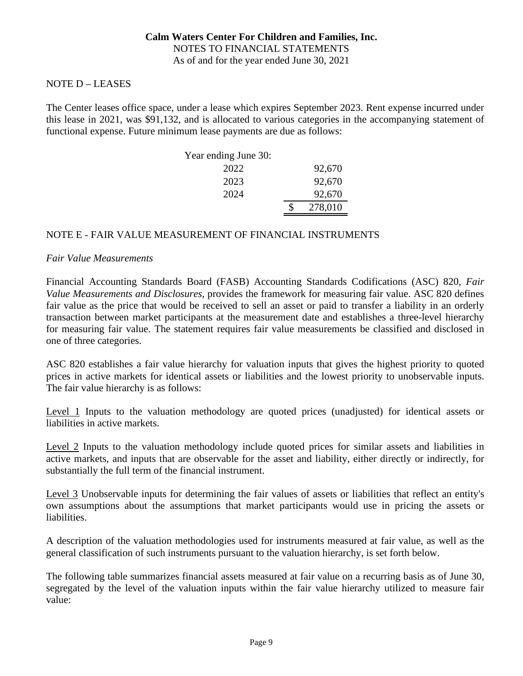### NOTE D – LEASES

The Center leases office space, under a lease which expires September 2023. Rent expense incurred under this lease in 2021, was \$91,132, and is allocated to various categories in the accompanying statement of functional expense. Future minimum lease payments are due as follows:

| Year ending June 30: |         |
|----------------------|---------|
| 2022                 | 92,670  |
| 2023                 | 92,670  |
| 2024                 | 92,670  |
|                      | 278,010 |

### NOTE E - FAIR VALUE MEASUREMENT OF FINANCIAL INSTRUMENTS

#### *Fair Value Measurements*

Financial Accounting Standards Board (FASB) Accounting Standards Codifications (ASC) 820, *Fair Value Measurements and Disclosures,* provides the framework for measuring fair value. ASC 820 defines fair value as the price that would be received to sell an asset or paid to transfer a liability in an orderly transaction between market participants at the measurement date and establishes a three-level hierarchy for measuring fair value. The statement requires fair value measurements be classified and disclosed in one of three categories.

ASC 820 establishes a fair value hierarchy for valuation inputs that gives the highest priority to quoted prices in active markets for identical assets or liabilities and the lowest priority to unobservable inputs. The fair value hierarchy is as follows:

Level 1 Inputs to the valuation methodology are quoted prices (unadjusted) for identical assets or liabilities in active markets.

Level 2 Inputs to the valuation methodology include quoted prices for similar assets and liabilities in active markets, and inputs that are observable for the asset and liability, either directly or indirectly, for substantially the full term of the financial instrument.

Level 3 Unobservable inputs for determining the fair values of assets or liabilities that reflect an entity's own assumptions about the assumptions that market participants would use in pricing the assets or liabilities.

A description of the valuation methodologies used for instruments measured at fair value, as well as the general classification of such instruments pursuant to the valuation hierarchy, is set forth below.

The following table summarizes financial assets measured at fair value on a recurring basis as of June 30, segregated by the level of the valuation inputs within the fair value hierarchy utilized to measure fair value: